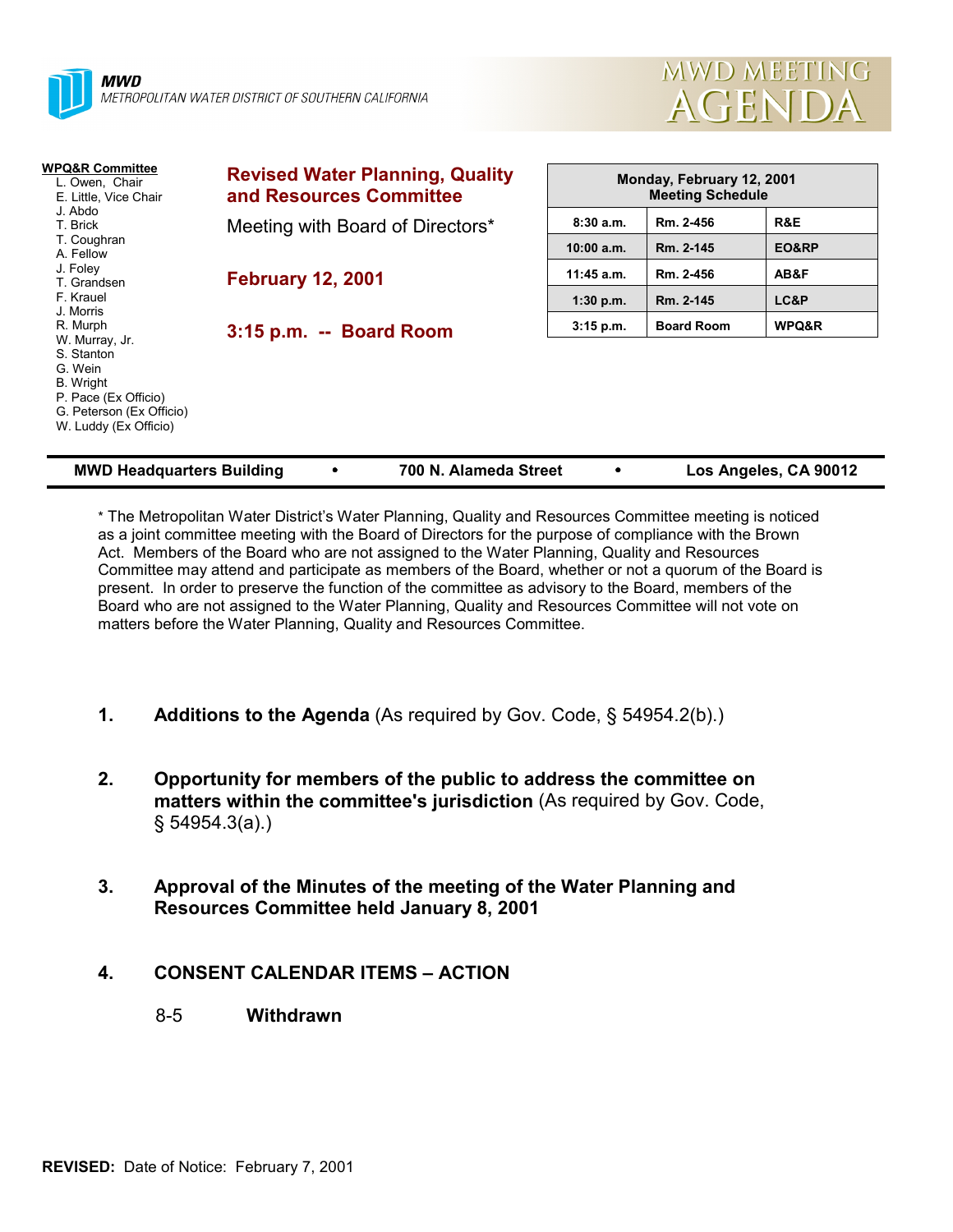



| <b>WPQ&amp;R Committee</b><br>L. Owen, Chair<br>E. Little, Vice Chair                                                             | <b>Revised Water Planning, Quality</b><br>and Resources Committee | Monday, February 12, 2001<br><b>Meeting Schedule</b> |                   |                  |
|-----------------------------------------------------------------------------------------------------------------------------------|-------------------------------------------------------------------|------------------------------------------------------|-------------------|------------------|
| J. Abdo<br>T. Brick                                                                                                               | Meeting with Board of Directors*                                  | 8:30a.m.                                             | Rm. 2-456         | R&E              |
| T. Coughran<br>A. Fellow                                                                                                          |                                                                   | 10:00 a.m.                                           | Rm. 2-145         | EO&RP            |
| J. Foley<br>T. Grandsen                                                                                                           | <b>February 12, 2001</b>                                          | $11:45$ a.m.                                         | Rm. 2-456         | AB&F             |
| F. Krauel                                                                                                                         |                                                                   | $1:30$ p.m.                                          | Rm. 2-145         | LC&P             |
| J. Morris<br>R. Murph                                                                                                             | $3:15$ p.m. $-$ Board Room                                        | $3:15$ p.m.                                          | <b>Board Room</b> | <b>WPQ&amp;R</b> |
| W. Murray, Jr.<br>S. Stanton<br>G. Wein<br>B. Wright<br>P. Pace (Ex Officio)<br>G. Peterson (Ex Officio)<br>W. Luddy (Ex Officio) |                                                                   |                                                      |                   |                  |

| <b>MWD Headquarters Building</b> | 700 N. Alameda Street | Los Angeles, CA 90012 |
|----------------------------------|-----------------------|-----------------------|
|                                  |                       |                       |

\* The Metropolitan Water District's Water Planning, Quality and Resources Committee meeting is noticed as a joint committee meeting with the Board of Directors for the purpose of compliance with the Brown Act. Members of the Board who are not assigned to the Water Planning, Quality and Resources Committee may attend and participate as members of the Board, whether or not a quorum of the Board is present. In order to preserve the function of the committee as advisory to the Board, members of the Board who are not assigned to the Water Planning, Quality and Resources Committee will not vote on matters before the Water Planning, Quality and Resources Committee.

- **1. Additions to the Agenda** (As required by Gov. Code, § 54954.2(b).)
- **2. Opportunity for members of the public to address the committee on matters within the committee's jurisdiction** (As required by Gov. Code, § 54954.3(a).)
- **3. Approval of the Minutes of the meeting of the Water Planning and Resources Committee held January 8, 2001**
- **4. CONSENT CALENDAR ITEMS ACTION**
	- 8-5 **Withdrawn**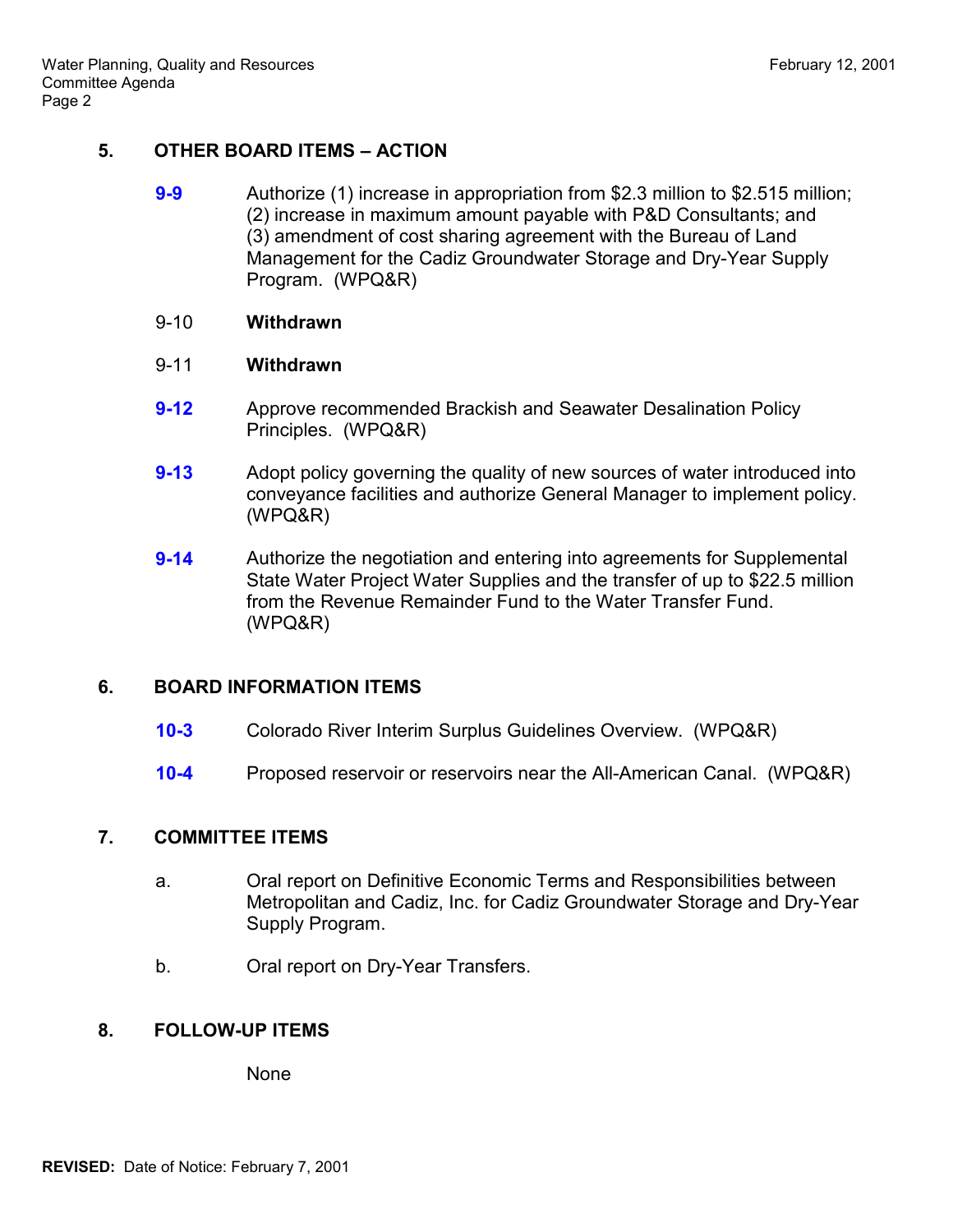## **5. OTHER BOARD ITEMS – ACTION**

**9-9** Authorize (1) increase in appropriation from \$2.3 million to \$2.515 million; (2) increase in maximum amount payable with P&D Consultants; and (3) amendment of cost sharing agreement with the Bureau of Land Management for the Cadiz Groundwater Storage and Dry-Year Supply Program. (WPQ&R)

#### 9-10 **Withdrawn**

#### 9-11 **Withdrawn**

- **9-12** Approve recommended Brackish and Seawater Desalination Policy Principles. (WPQ&R)
- **9-13** Adopt policy governing the quality of new sources of water introduced into conveyance facilities and authorize General Manager to implement policy. (WPQ&R)
- **9-14** Authorize the negotiation and entering into agreements for Supplemental State Water Project Water Supplies and the transfer of up to \$22.5 million from the Revenue Remainder Fund to the Water Transfer Fund. (WPQ&R)

### **6. BOARD INFORMATION ITEMS**

- **10-3** Colorado River Interim Surplus Guidelines Overview. (WPQ&R)
- **10-4** Proposed reservoir or reservoirs near the All-American Canal. (WPQ&R)

### **7. COMMITTEE ITEMS**

- a. Oral report on Definitive Economic Terms and Responsibilities between Metropolitan and Cadiz, Inc. for Cadiz Groundwater Storage and Dry-Year Supply Program.
- b. Oral report on Dry-Year Transfers.

### **8. FOLLOW-UP ITEMS**

None